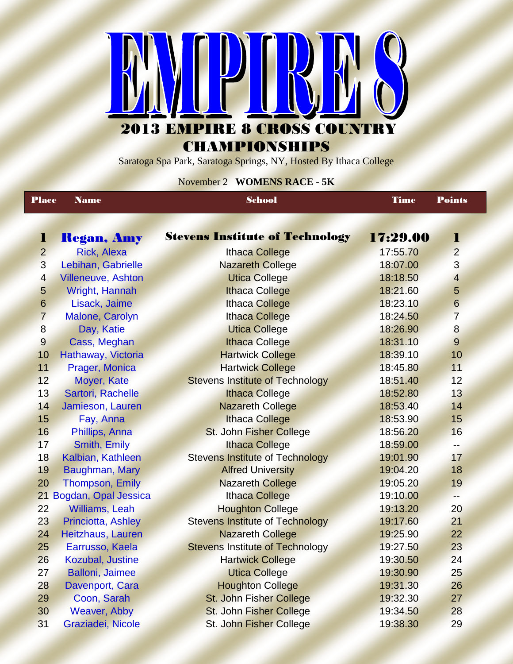

**CHAMPIONSHIPS** 

Saratoga Spa Park, Saratoga Springs, NY, Hosted By Ithaca College

## November 2 **WOMENS RACE - 5K**

| <b>Place</b><br><b>Name</b> |                           | <b>School</b>                          | <b>Time</b> | <b>Points</b>            |
|-----------------------------|---------------------------|----------------------------------------|-------------|--------------------------|
|                             |                           |                                        |             |                          |
| 1                           | <b>Regan, Amy</b>         | <b>Stevens Institute of Technology</b> | 17:29.00    | $\bf{1}$                 |
| $\overline{2}$              | <b>Rick, Alexa</b>        | <b>Ithaca College</b>                  | 17:55.70    | $\overline{2}$           |
| 3                           | Lebihan, Gabrielle        | <b>Nazareth College</b>                | 18:07.00    | 3                        |
| $\overline{4}$              | <b>Villeneuve, Ashton</b> | <b>Utica College</b>                   | 18:18.50    | $\overline{\mathbf{4}}$  |
| 5                           | Wright, Hannah            | <b>Ithaca College</b>                  | 18:21.60    | 5                        |
| $6\phantom{1}$              | Lisack, Jaime             | <b>Ithaca College</b>                  | 18:23.10    | $6\phantom{1}$           |
| $\overline{7}$              | Malone, Carolyn           | <b>Ithaca College</b>                  | 18:24.50    | $\overline{7}$           |
| $\overline{8}$              | Day, Katie                | <b>Utica College</b>                   | 18:26.90    | 8                        |
| $\overline{9}$              | Cass, Meghan              | <b>Ithaca College</b>                  | 18:31.10    | 9                        |
| 10                          | Hathaway, Victoria        | <b>Hartwick College</b>                | 18:39.10    | 10                       |
| 11                          | Prager, Monica            | <b>Hartwick College</b>                | 18:45.80    | 11                       |
| 12                          | Moyer, Kate               | <b>Stevens Institute of Technology</b> | 18:51.40    | 12                       |
| 13                          | Sartori, Rachelle         | <b>Ithaca College</b>                  | 18:52.80    | 13                       |
| 14                          | Jamieson, Lauren          | <b>Nazareth College</b>                | 18:53.40    | 14                       |
| 15                          | Fay, Anna                 | <b>Ithaca College</b>                  | 18:53.90    | 15                       |
| 16                          | Phillips, Anna            | St. John Fisher College                | 18:56.20    | 16                       |
| 17                          | Smith, Emily              | <b>Ithaca College</b>                  | 18:59.00    | $\overline{\phantom{a}}$ |
| 18                          | Kalbian, Kathleen         | <b>Stevens Institute of Technology</b> | 19:01.90    | 17                       |
| 19                          | Baughman, Mary            | <b>Alfred University</b>               | 19:04.20    | 18                       |
| 20                          | <b>Thompson, Emily</b>    | <b>Nazareth College</b>                | 19:05.20    | 19                       |
|                             | 21 Bogdan, Opal Jessica   | <b>Ithaca College</b>                  | 19:10.00    | $-$                      |
| 22                          | <b>Williams, Leah</b>     | <b>Houghton College</b>                | 19:13.20    | 20                       |
| 23                          | Princiotta, Ashley        | <b>Stevens Institute of Technology</b> | 19:17.60    | 21                       |
| 24                          | Heitzhaus, Lauren         | <b>Nazareth College</b>                | 19:25.90    | 22                       |
| 25                          | Earrusso, Kaela           | <b>Stevens Institute of Technology</b> | 19:27.50    | 23                       |
| 26                          | Kozubal, Justine          | <b>Hartwick College</b>                | 19:30.50    | 24                       |
| 27                          | <b>Balloni</b> , Jaimee   | <b>Utica College</b>                   | 19:30.90    | 25                       |
| 28                          | Davenport, Cara           | <b>Houghton College</b>                | 19:31.30    | 26                       |
| 29                          | Coon, Sarah               | St. John Fisher College                | 19:32.30    | 27                       |
| 30                          | Weaver, Abby              | St. John Fisher College                | 19:34.50    | 28                       |
| 31                          | Graziadei, Nicole         | St. John Fisher College                | 19:38.30    | 29                       |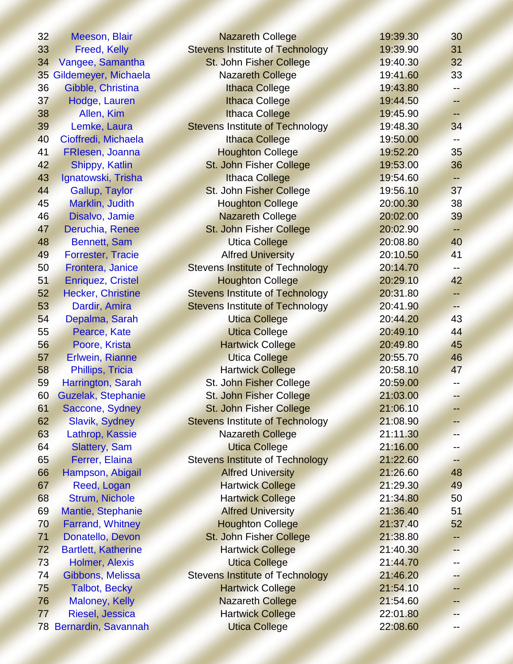| 32              | Meeson, Blair                                          | <b>Nazareth College</b>                | 19:39.30 | 30       |
|-----------------|--------------------------------------------------------|----------------------------------------|----------|----------|
| 33              | <b>Stevens Institute of Technology</b><br>Freed, Kelly |                                        | 19:39.90 | 31       |
| 34              | Vangee, Samantha                                       | St. John Fisher College                | 19:40.30 | 32       |
| 35 <sub>1</sub> | Gildemeyer, Michaela                                   | <b>Nazareth College</b>                | 19:41.60 | 33       |
| 36              | Gibble, Christina                                      | <b>Ithaca College</b>                  | 19:43.80 |          |
| 37              | Hodge, Lauren                                          | <b>Ithaca College</b>                  | 19:44.50 | $\equiv$ |
| 38              | Allen, Kim                                             | <b>Ithaca College</b>                  | 19:45.90 | 44       |
| 39              | Lemke, Laura                                           | <b>Stevens Institute of Technology</b> | 19:48.30 | 34       |
| 40              | Cioffredi, Michaela                                    | <b>Ithaca College</b>                  | 19:50.00 |          |
| 41              | FRIesen, Joanna                                        | <b>Houghton College</b>                | 19:52.20 | 35       |
| 42              | Shippy, Katlin                                         | St. John Fisher College                | 19:53.00 | 36       |
| 43              | Ignatowski, Trisha                                     | <b>Ithaca College</b>                  | 19:54.60 | --       |
| 44              | Gallup, Taylor                                         | St. John Fisher College                | 19:56.10 | 37       |
| 45              | Marklin, Judith                                        | <b>Houghton College</b>                | 20:00.30 | 38       |
| 46              | Disalvo, Jamie                                         | <b>Nazareth College</b>                | 20:02.00 | 39       |
| 47              | Deruchia, Renee                                        | St. John Fisher College                | 20:02.90 | ÷        |
| 48              | <b>Bennett, Sam</b>                                    | <b>Utica College</b>                   | 20:08.80 | 40       |
| 49              | <b>Forrester, Tracie</b>                               | <b>Alfred University</b>               | 20:10.50 | 41       |
| 50              | Frontera, Janice                                       | <b>Stevens Institute of Technology</b> | 20:14.70 |          |
| 51              | <b>Enriquez, Cristel</b>                               | <b>Houghton College</b>                | 20:29.10 | 42       |
| 52              | <b>Hecker, Christine</b>                               | <b>Stevens Institute of Technology</b> | 20:31.80 | --       |
| 53              | Dardir, Amira                                          | <b>Stevens Institute of Technology</b> | 20:41.90 | -−       |
| 54              | Depalma, Sarah                                         | <b>Utica College</b>                   | 20:44.20 | 43       |
| 55              | Pearce, Kate                                           | <b>Utica College</b>                   | 20:49.10 | 44       |
| 56              | Poore, Krista                                          | <b>Hartwick College</b>                | 20:49.80 | 45       |
| 57              | Erlwein, Rianne                                        | <b>Utica College</b>                   | 20:55.70 | 46       |
| 58              | Phillips, Tricia                                       | <b>Hartwick College</b>                | 20:58.10 | 47       |
| 59              | Harrington, Sarah                                      | St. John Fisher College                | 20:59.00 | --       |
| 60              | Guzelak, Stephanie                                     | St. John Fisher College                | 21:03.00 | --       |
| 61              | Saccone, Sydney                                        | <b>St. John Fisher College</b>         | 21:06.10 |          |
| 62              | Slavik, Sydney                                         | <b>Stevens Institute of Technology</b> | 21:08.90 |          |
| 63              | Lathrop, Kassie                                        | <b>Nazareth College</b>                | 21:11.30 |          |
| 64              | <b>Slattery, Sam</b>                                   | <b>Utica College</b>                   | 21:16.00 |          |
| 65              | Ferrer, Elaina                                         | <b>Stevens Institute of Technology</b> | 21:22.60 | 45       |
| 66              | Hampson, Abigail                                       | <b>Alfred University</b>               | 21:26.60 | 48       |
| 67              | Reed, Logan                                            | <b>Hartwick College</b>                | 21:29.30 | 49       |
| 68              | <b>Strum, Nichole</b>                                  | <b>Hartwick College</b>                | 21:34.80 | 50       |
| 69              | Mantie, Stephanie                                      | <b>Alfred University</b>               | 21:36.40 | 51       |
| 70              | <b>Farrand, Whitney</b>                                | <b>Houghton College</b>                | 21:37.40 | 52       |
| 71              | Donatello, Devon                                       | St. John Fisher College                | 21:38.80 |          |
| 72              | <b>Bartlett, Katherine</b>                             | <b>Hartwick College</b>                | 21:40.30 | 44       |
| 73              | <b>Holmer, Alexis</b>                                  | <b>Utica College</b>                   | 21:44.70 |          |
| 74              | Gibbons, Melissa                                       | <b>Stevens Institute of Technology</b> | 21:46.20 |          |
| 75              | <b>Talbot, Becky</b>                                   | <b>Hartwick College</b>                | 21:54.10 | 43       |
| 76              | <b>Maloney, Kelly</b>                                  | <b>Nazareth College</b>                | 21:54.60 |          |
| 77              | Riesel, Jessica                                        | <b>Hartwick College</b>                | 22:01.80 |          |
| 78              | Bernardin, Savannah                                    | <b>Utica College</b>                   | 22:08.60 |          |